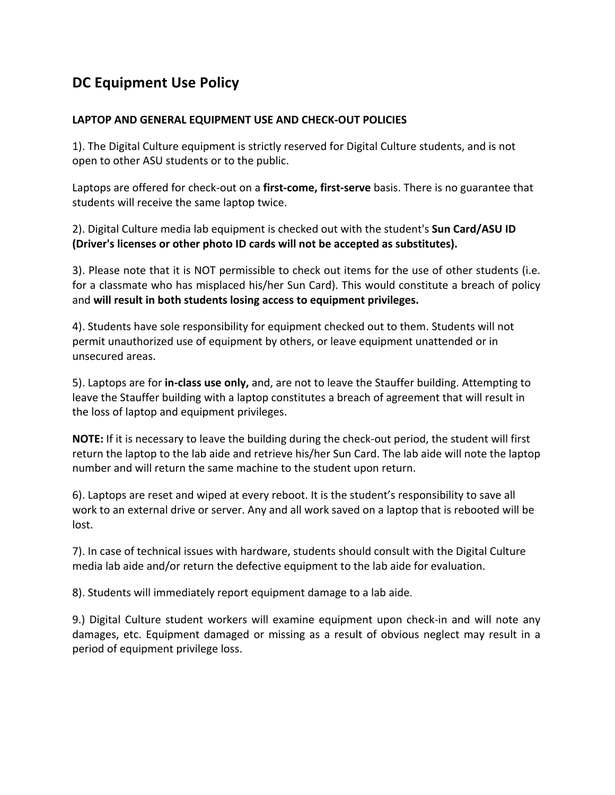## **DC Equipment Use Policy**

## LAPTOP AND GENERAL EQUIPMENT USE AND CHECK-OUT POLICIES

1). The Digital Culture equipment is strictly reserved for Digital Culture students, and is not open to other ASU students or to the public.

Laptops are offered for check-out on a first-come, first-serve basis. There is no guarantee that students will receive the same laptop twice.

2). Digital Culture media lab equipment is checked out with the student's **Sun Card/ASU ID (Driver's licenses or other photo ID cards will not be accepted as substitutes).** 

3). Please note that it is NOT permissible to check out items for the use of other students (i.e. for a classmate who has misplaced his/her Sun Card). This would constitute a breach of policy and will result in both students losing access to equipment privileges.

4). Students have sole responsibility for equipment checked out to them. Students will not permit unauthorized use of equipment by others, or leave equipment unattended or in unsecured areas.

5). Laptops are for **in-class use only,** and, are not to leave the Stauffer building. Attempting to leave the Stauffer building with a laptop constitutes a breach of agreement that will result in the loss of laptop and equipment privileges.

**NOTE:** If it is necessary to leave the building during the check-out period, the student will first return the laptop to the lab aide and retrieve his/her Sun Card. The lab aide will note the laptop number and will return the same machine to the student upon return.

6). Laptops are reset and wiped at every reboot. It is the student's responsibility to save all work to an external drive or server. Any and all work saved on a laptop that is rebooted will be lost.

7). In case of technical issues with hardware, students should consult with the Digital Culture media lab aide and/or return the defective equipment to the lab aide for evaluation.

8). Students will immediately report equipment damage to a lab aide.

9.) Digital Culture student workers will examine equipment upon check-in and will note any damages, etc. Equipment damaged or missing as a result of obvious neglect may result in a period of equipment privilege loss.